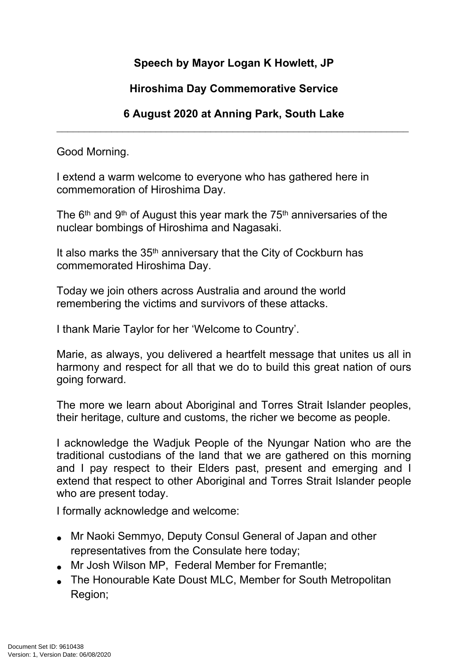## **Speech by Mayor Logan K Howlett, JP**

## **Hiroshima Day Commemorative Service**

## **6 August 2020 at Anning Park, South Lake**  $\_$  , and the set of the set of the set of the set of the set of the set of the set of the set of the set of the set of the set of the set of the set of the set of the set of the set of the set of the set of the set of th

Good Morning.

I extend a warm welcome to everyone who has gathered here in commemoration of Hiroshima Day.

The  $6<sup>th</sup>$  and  $9<sup>th</sup>$  of August this year mark the 75<sup>th</sup> anniversaries of the nuclear bombings of Hiroshima and Nagasaki.

It also marks the 35th anniversary that the City of Cockburn has commemorated Hiroshima Day.

Today we join others across Australia and around the world remembering the victims and survivors of these attacks.

I thank Marie Taylor for her 'Welcome to Country'.

Marie, as always, you delivered a heartfelt message that unites us all in harmony and respect for all that we do to build this great nation of ours going forward.

The more we learn about Aboriginal and Torres Strait Islander peoples, their heritage, culture and customs, the richer we become as people.

I acknowledge the Wadjuk People of the Nyungar Nation who are the traditional custodians of the land that we are gathered on this morning and I pay respect to their Elders past, present and emerging and I extend that respect to other Aboriginal and Torres Strait Islander people who are present today.

I formally acknowledge and welcome:

- Mr Naoki Semmyo, Deputy Consul General of Japan and other representatives from the Consulate here today;
- Mr Josh Wilson MP, Federal Member for Fremantle;
- The Honourable Kate Doust MLC, Member for South Metropolitan Region;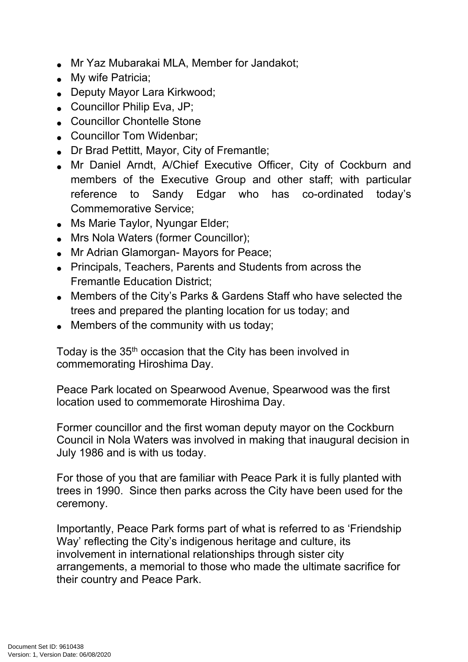- Mr Yaz Mubarakai MLA, Member for Jandakot;
- My wife Patricia:
- Deputy Mayor Lara Kirkwood;
- Councillor Philip Eva, JP;
- Councillor Chontelle Stone
- Councillor Tom Widenbar:
- Dr Brad Pettitt, Mayor, City of Fremantle;
- Mr Daniel Arndt, A/Chief Executive Officer, City of Cockburn and members of the Executive Group and other staff; with particular reference to Sandy Edgar who has co-ordinated today's Commemorative Service;
- Ms Marie Taylor, Nyungar Elder;
- Mrs Nola Waters (former Councillor);
- Mr Adrian Glamorgan- Mayors for Peace;
- Principals, Teachers, Parents and Students from across the Fremantle Education District;
- Members of the City's Parks & Gardens Staff who have selected the trees and prepared the planting location for us today; and
- Members of the community with us today;

Today is the 35<sup>th</sup> occasion that the City has been involved in commemorating Hiroshima Day.

Peace Park located on Spearwood Avenue, Spearwood was the first location used to commemorate Hiroshima Day.

Former councillor and the first woman deputy mayor on the Cockburn Council in Nola Waters was involved in making that inaugural decision in July 1986 and is with us today.

For those of you that are familiar with Peace Park it is fully planted with trees in 1990. Since then parks across the City have been used for the ceremony.

Importantly, Peace Park forms part of what is referred to as 'Friendship Way' reflecting the City's indigenous heritage and culture, its involvement in international relationships through sister city arrangements, a memorial to those who made the ultimate sacrifice for their country and Peace Park.